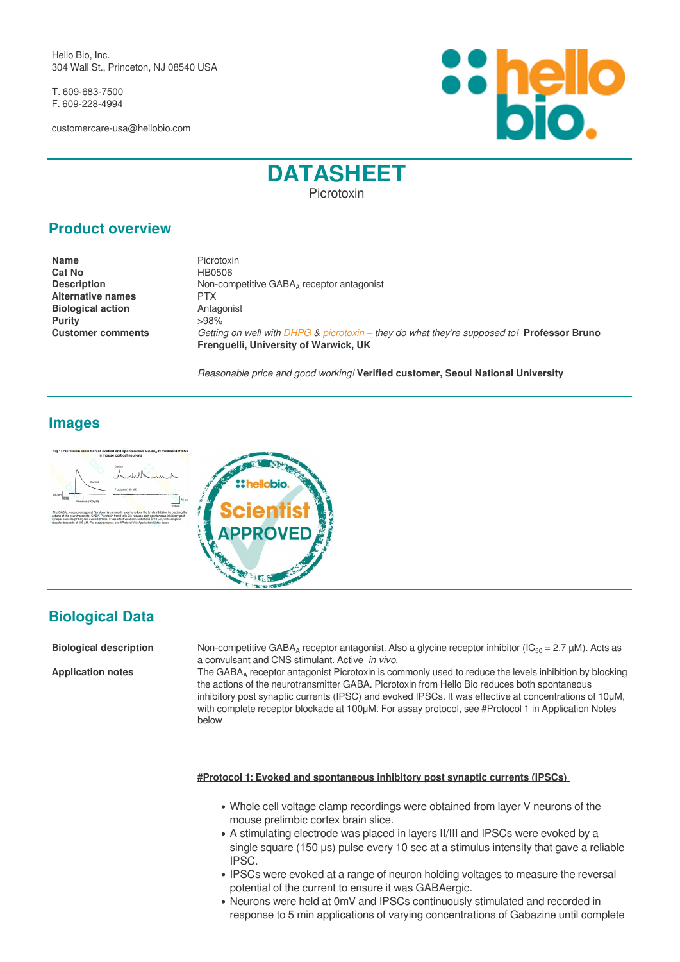Hello Bio, Inc. 304 Wall St., Princeton, NJ 08540 USA

T. 609-683-7500 F. 609-228-4994

customercare-usa@hellobio.com



## **DATASHEET** Picrotoxin

## **Product overview**

| <b>Name</b>              | Picrotoxin                                                                                 |
|--------------------------|--------------------------------------------------------------------------------------------|
| <b>Cat No</b>            | HB0506                                                                                     |
| <b>Description</b>       | Non-competitive GABA <sub>4</sub> receptor antagonist                                      |
| <b>Alternative names</b> | <b>PTX</b>                                                                                 |
| <b>Biological action</b> | Antagonist                                                                                 |
| <b>Purity</b>            | >98%                                                                                       |
| <b>Customer comments</b> | Getting on well with DHPG & picrotoxin - they do what they're supposed to! Professor Bruno |
|                          | Frenguelli, University of Warwick, UK                                                      |

*Reasonable price and good working!* **Verified customer, Seoul National University**

## **Images**





# **Biological Data**

**Biological description** Non-competitive GABA<sub>A</sub> receptor antagonist. Also a glycine receptor inhibitor (IC<sub>50</sub> = 2.7 µM). Acts as a convulsant and CNS stimulant. Active *in vivo*.

Application notes The GABA<sub>A</sub> receptor antagonist Picrotoxin is commonly used to reduce the levels inhibition by blocking the actions of the neurotransmitter GABA. Picrotoxin from Hello Bio reduces both spontaneous inhibitory post synaptic currents (IPSC) and evoked IPSCs. It was effective at concentrations of 10μM, with complete receptor blockade at 100μM. For assay protocol, see #Protocol 1 in Application Notes below

#### **#Protocol 1: Evoked and spontaneous inhibitory post synaptic currents (IPSCs)**

- Whole cell voltage clamp recordings were obtained from layer V neurons of the mouse prelimbic cortex brain slice.
- A stimulating electrode was placed in layers II/III and IPSCs were evoked by a single square (150 μs) pulse every 10 sec at a stimulus intensity that gave a reliable IPSC.
- IPSCs were evoked at a range of neuron holding voltages to measure the reversal potential of the current to ensure it was GABAergic.
- Neurons were held at 0mV and IPSCs continuously stimulated and recorded in response to 5 min applications of varying concentrations of Gabazine until complete